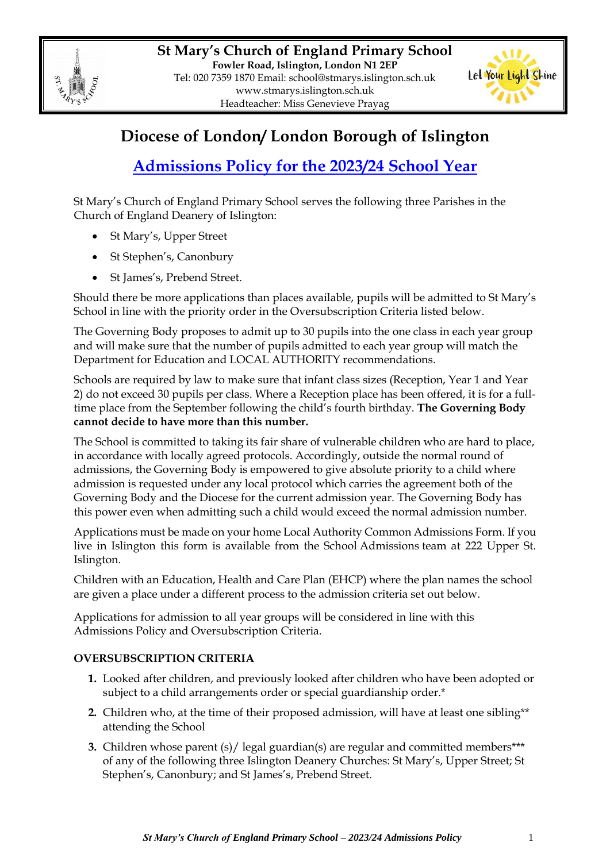



## **Diocese of London/ London Borough of Islington**

# **Admissions Policy for the 2023/24 School Year**

St Mary's Church of England Primary School serves the following three Parishes in the Church of England Deanery of Islington:

- St Mary's, Upper Street
- St Stephen's, Canonbury
- St James's, Prebend Street.

Should there be more applications than places available, pupils will be admitted to St Mary's School in line with the priority order in the Oversubscription Criteria listed below.

The Governing Body proposes to admit up to 30 pupils into the one class in each year group and will make sure that the number of pupils admitted to each year group will match the Department for Education and LOCAL AUTHORITY recommendations.

Schools are required by law to make sure that infant class sizes (Reception, Year 1 and Year 2) do not exceed 30 pupils per class. Where a Reception place has been offered, it is for a fulltime place from the September following the child's fourth birthday. **The Governing Body cannot decide to have more than this number.**

The School is committed to taking its fair share of vulnerable children who are hard to place, in accordance with locally agreed protocols. Accordingly, outside the normal round of admissions, the Governing Body is empowered to give absolute priority to a child where admission is requested under any local protocol which carries the agreement both of the Governing Body and the Diocese for the current admission year. The Governing Body has this power even when admitting such a child would exceed the normal admission number.

Applications must be made on your home Local Authority Common Admissions Form. If you live in Islington this form is available from the School Admissions team at 222 Upper St. Islington.

Children with an Education, Health and Care Plan (EHCP) where the plan names the school are given a place under a different process to the admission criteria set out below.

Applications for admission to all year groups will be considered in line with this Admissions Policy and Oversubscription Criteria.

### **OVERSUBSCRIPTION CRITERIA**

- **1.** Looked after children, and previously looked after children who have been adopted or subject to a child arrangements order or special guardianship order.\*
- **2.** Children who, at the time of their proposed admission, will have at least one sibling\*\* attending the School
- **3.** Children whose parent (s)/ legal guardian(s) are regular and committed members\*\*\* of any of the following three Islington Deanery Churches: St Mary's, Upper Street; St Stephen's, Canonbury; and St James's, Prebend Street.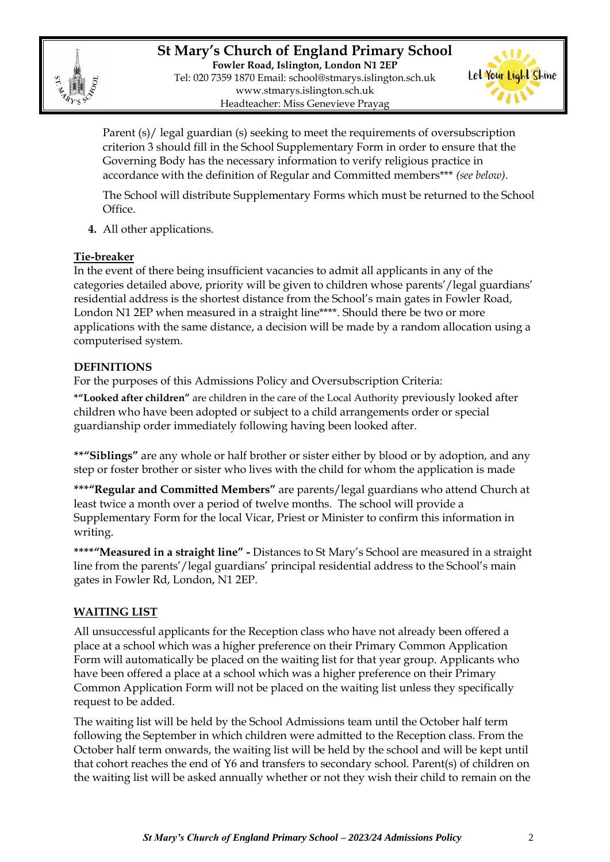

**St Mary's Church of England Primary School Fowler Road, Islington, London N1 2EP** Tel: 020 7359 1870 Email: [school@stmarys.islington.sch.uk](mailto:school@stmarys.islington.sch.uk) [www.stmarys.islington.sch.uk](http://www.stmarys.islington.sch.uk/) Headteacher: Miss Genevieve Prayag



Parent (s)/ legal guardian (s) seeking to meet the requirements of oversubscription criterion 3 should fill in the School Supplementary Form in order to ensure that the Governing Body has the necessary information to verify religious practice in accordance with the definition of Regular and Committed members\*\*\* *(see below).*

The School will distribute Supplementary Forms which must be returned to the School Office.

**4.** All other applications.

#### **Tie-breaker**

In the event of there being insufficient vacancies to admit all applicants in any of the categories detailed above, priority will be given to children whose parents'/legal guardians' residential address is the shortest distance from the School's main gates in Fowler Road, London N1 2EP when measured in a straight line\*\*\*\*. Should there be two or more applications with the same distance, a decision will be made by a random allocation using a computerised system.

#### **DEFINITIONS**

For the purposes of this Admissions Policy and Oversubscription Criteria:

**\*"Looked after children"** are children in the care of the Local Authority previously looked after children who have been adopted or subject to a child arrangements order or special guardianship order immediately following having been looked after.

**\*\*"Siblings"** are any whole or half brother or sister either by blood or by adoption, and any step or foster brother or sister who lives with the child for whom the application is made

**\*\*\*"Regular and Committed Members"** are parents/legal guardians who attend Church at least twice a month over a period of twelve months. The school will provide a Supplementary Form for the local Vicar, Priest or Minister to confirm this information in writing.

**\*\*\*\*"Measured in a straight line" -** Distances to St Mary's School are measured in a straight line from the parents'/legal guardians' principal residential address to the School's main gates in Fowler Rd, London, N1 2EP.

#### **WAITING LIST**

All unsuccessful applicants for the Reception class who have not already been offered a place at a school which was a higher preference on their Primary Common Application Form will automatically be placed on the waiting list for that year group. Applicants who have been offered a place at a school which was a higher preference on their Primary Common Application Form will not be placed on the waiting list unless they specifically request to be added.

The waiting list will be held by the School Admissions team until the October half term following the September in which children were admitted to the Reception class. From the October half term onwards, the waiting list will be held by the school and will be kept until that cohort reaches the end of Y6 and transfers to secondary school. Parent(s) of children on the waiting list will be asked annually whether or not they wish their child to remain on the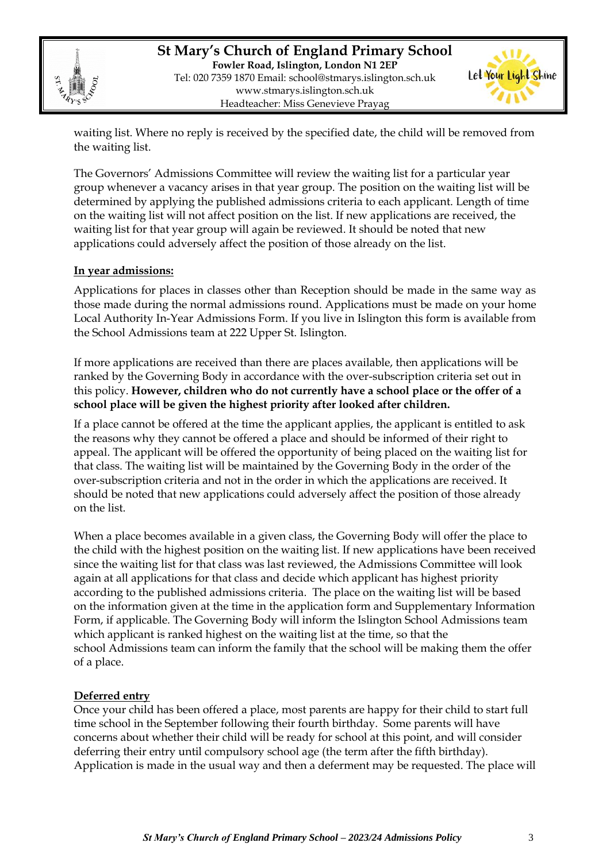

**St Mary's Church of England Primary School Fowler Road, Islington, London N1 2EP** Tel: 020 7359 1870 Email: [school@stmarys.islington.sch.uk](mailto:school@stmarys.islington.sch.uk) [www.stmarys.islington.sch.uk](http://www.stmarys.islington.sch.uk/) Headteacher: Miss Genevieve Prayag



waiting list. Where no reply is received by the specified date, the child will be removed from the waiting list.

The Governors' Admissions Committee will review the waiting list for a particular year group whenever a vacancy arises in that year group. The position on the waiting list will be determined by applying the published admissions criteria to each applicant. Length of time on the waiting list will not affect position on the list. If new applications are received, the waiting list for that year group will again be reviewed. It should be noted that new applications could adversely affect the position of those already on the list.

#### **In year admissions:**

Applications for places in classes other than Reception should be made in the same way as those made during the normal admissions round. Applications must be made on your home Local Authority In-Year Admissions Form. If you live in Islington this form is available from the School Admissions team at 222 Upper St. Islington.

If more applications are received than there are places available, then applications will be ranked by the Governing Body in accordance with the over-subscription criteria set out in this policy. **However, children who do not currently have a school place or the offer of a school place will be given the highest priority after looked after children.** 

If a place cannot be offered at the time the applicant applies, the applicant is entitled to ask the reasons why they cannot be offered a place and should be informed of their right to appeal. The applicant will be offered the opportunity of being placed on the waiting list for that class. The waiting list will be maintained by the Governing Body in the order of the over-subscription criteria and not in the order in which the applications are received. It should be noted that new applications could adversely affect the position of those already on the list.

When a place becomes available in a given class, the Governing Body will offer the place to the child with the highest position on the waiting list. If new applications have been received since the waiting list for that class was last reviewed, the Admissions Committee will look again at all applications for that class and decide which applicant has highest priority according to the published admissions criteria. The place on the waiting list will be based on the information given at the time in the application form and Supplementary Information Form, if applicable. The Governing Body will inform the Islington School Admissions team which applicant is ranked highest on the waiting list at the time, so that the school Admissions team can inform the family that the school will be making them the offer of a place.

#### **Deferred entry**

Once your child has been offered a place, most parents are happy for their child to start full time school in the September following their fourth birthday. Some parents will have concerns about whether their child will be ready for school at this point, and will consider deferring their entry until compulsory school age (the term after the fifth birthday). Application is made in the usual way and then a deferment may be requested. The place will